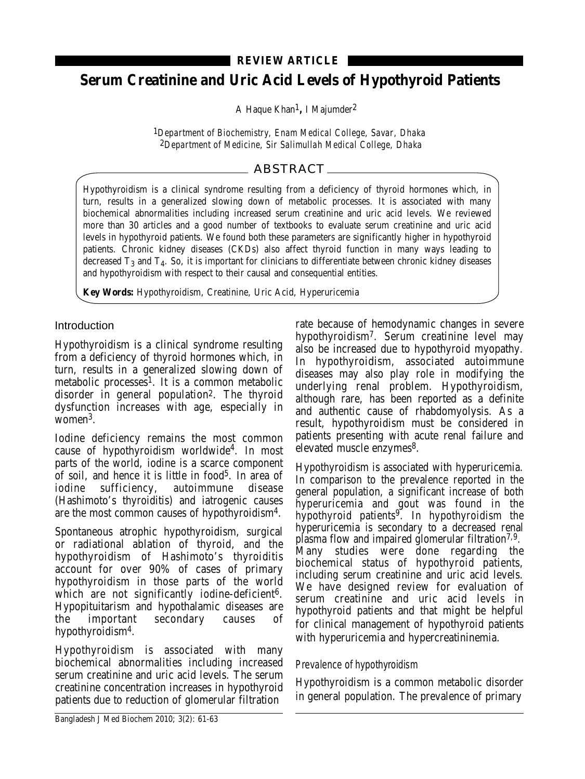## **REVIEW ARTICLE**

# **Serum Creatinine and Uric Acid Levels of Hypothyroid Patients**

A Haque Khan1**,** I Majumder2

1*Department of Biochemistry, Enam Medical College, Savar, Dhaka* 2*Department of Medicine, Sir Salimullah Medical College, Dhaka*

# ABSTRACT

Hypothyroidism is a clinical syndrome resulting from a deficiency of thyroid hormones which, in turn, results in a generalized slowing down of metabolic processes. It is associated with many biochemical abnormalities including increased serum creatinine and uric acid levels. We reviewed more than 30 articles and a good number of textbooks to evaluate serum creatinine and uric acid levels in hypothyroid patients. We found both these parameters are significantly higher in hypothyroid patients. Chronic kidney diseases (CKDs) also affect thyroid function in many ways leading to decreased  $T_3$  and  $T_4$ . So, it is important for clinicians to differentiate between chronic kidney diseases and hypothyroidism with respect to their causal and consequential entities.

**Key Words:** Hypothyroidism, Creatinine, Uric Acid, Hyperuricemia

#### Introduction

Hypothyroidism is a clinical syndrome resulting from a deficiency of thyroid hormones which, in turn, results in a generalized slowing down of metabolic processes<sup>1</sup>. It is a common metabolic disorder in general population2. The thyroid dysfunction increases with age, especially in women3.

Iodine deficiency remains the most common cause of hypothyroidism worldwide<sup>4</sup>. In most parts of the world, iodine is a scarce component of soil, and hence it is little in food $5$ . In area of iodine sufficiency, autoimmune disease (Hashimoto's thyroiditis) and iatrogenic causes are the most common causes of hypothyroidism4.

Spontaneous atrophic hypothyroidism, surgical or radiational ablation of thyroid, and the hypothyroidism of Hashimoto's thyroiditis account for over 90% of cases of primary hypothyroidism in those parts of the world which are not significantly iodine-deficient<sup>6</sup>. Hypopituitarism and hypothalamic diseases are the important secondary causes of hypothyroidism4.

Hypothyroidism is associated with many biochemical abnormalities including increased serum creatinine and uric acid levels. The serum creatinine concentration increases in hypothyroid patients due to reduction of glomerular filtration

rate because of hemodynamic changes in severe hypothyroidism7. Serum creatinine level may also be increased due to hypothyroid myopathy. In hypothyroidism, associated autoimmune diseases may also play role in modifying the underlying renal problem. Hypothyroidism, although rare, has been reported as a definite and authentic cause of rhabdomyolysis. As a result, hypothyroidism must be considered in patients presenting with acute renal failure and elevated muscle enzymes<sup>8</sup>.

Hypothyroidism is associated with hyperuricemia. In comparison to the prevalence reported in the general population, a significant increase of both hyperuricemia and gout was found in the hypothyroid patients9. In hypothyroidism the hyperuricemia is secondary to a decreased renal plasma flow and impaired glomerular filtration7,9. Many studies were done regarding the biochemical status of hypothyroid patients, including serum creatinine and uric acid levels. We have designed review for evaluation of serum creatinine and uric acid levels in hypothyroid patients and that might be helpful for clinical management of hypothyroid patients with hyperuricemia and hypercreatininemia.

#### Prevalence of hypothyroidism

Hypothyroidism is a common metabolic disorder in general population. The prevalence of primary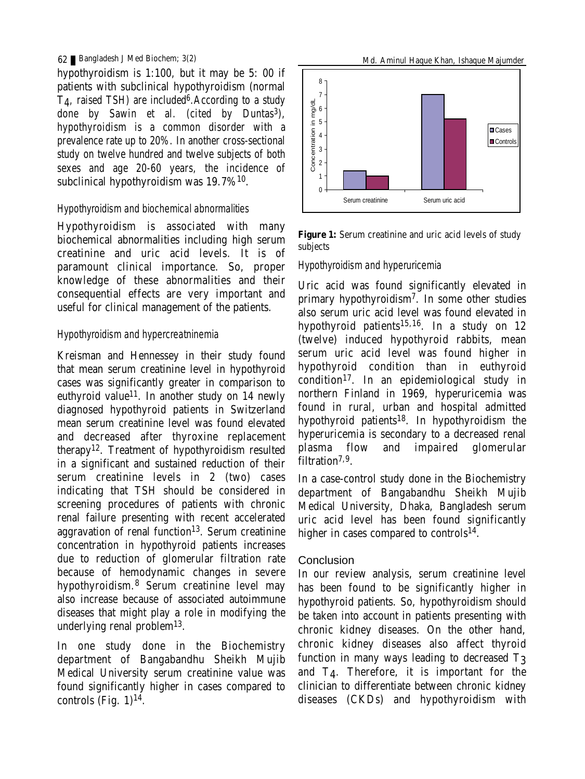#### 62 Bangladesh J Med Biochem; 3(2)

hypothyroidism is 1:100, but it may be 5: 00 if patients with subclinical hypothyroidism (normal  $T<sub>4</sub>$ , raised TSH) are included<sup>6</sup>. According to a study done by Sawin et al. (cited by Duntas<sup>3</sup>), hypothyroidism is a common disorder with a prevalence rate up to 20%. In another cross-sectional study on twelve hundred and twelve subjects of both sexes and age 20-60 years, the incidence of subclinical hypothyroidism was 19.7%10.

#### Hypothyroidism and biochemical abnormalities

Hypothyroidism is associated with many biochemical abnormalities including high serum creatinine and uric acid levels. It is of paramount clinical importance. So, proper knowledge of these abnormalities and their consequential effects are very important and useful for clinical management of the patients.

#### Hypothyroidism and hypercreatninemia

Kreisman and Hennessey in their study found that mean serum creatinine level in hypothyroid cases was significantly greater in comparison to euthyroid value<sup>11</sup>. In another study on  $14$  newly diagnosed hypothyroid patients in Switzerland mean serum creatinine level was found elevated and decreased after thyroxine replacement therapy12. Treatment of hypothyroidism resulted in a significant and sustained reduction of their serum creatinine levels in 2 (two) cases indicating that TSH should be considered in screening procedures of patients with chronic renal failure presenting with recent accelerated aggravation of renal function $13$ . Serum creatinine concentration in hypothyroid patients increases due to reduction of glomerular filtration rate because of hemodynamic changes in severe hypothyroidism.<sup>8</sup> Serum creatinine level may also increase because of associated autoimmune diseases that might play a role in modifying the underlying renal problem13.

In one study done in the Biochemistry department of Bangabandhu Sheikh Mujib Medical University serum creatinine value was found significantly higher in cases compared to controls (Fig.  $1$ )<sup>14</sup>.



**Figure 1:** Serum creatinine and uric acid levels of study subjects

#### Hypothyroidism and hyperuricemia

Uric acid was found significantly elevated in primary hypothyroidism7. In some other studies also serum uric acid level was found elevated in hypothyroid patients<sup>15,16</sup>. In a study on  $12$ (twelve) induced hypothyroid rabbits, mean serum uric acid level was found higher in hypothyroid condition than in euthyroid condition17. In an epidemiological study in northern Finland in 1969, hyperuricemia was found in rural, urban and hospital admitted hypothyroid patients18. In hypothyroidism the hyperuricemia is secondary to a decreased renal plasma flow and impaired glomerular filtration $7,9$ .

In a case-control study done in the Biochemistry department of Bangabandhu Sheikh Mujib Medical University, Dhaka, Bangladesh serum uric acid level has been found significantly higher in cases compared to controls<sup>14</sup>.

## Conclusion

In our review analysis, serum creatinine level has been found to be significantly higher in hypothyroid patients. So, hypothyroidism should be taken into account in patients presenting with chronic kidney diseases. On the other hand, chronic kidney diseases also affect thyroid function in many ways leading to decreased T3 and T4. Therefore, it is important for the clinician to differentiate between chronic kidney diseases (CKDs) and hypothyroidism with